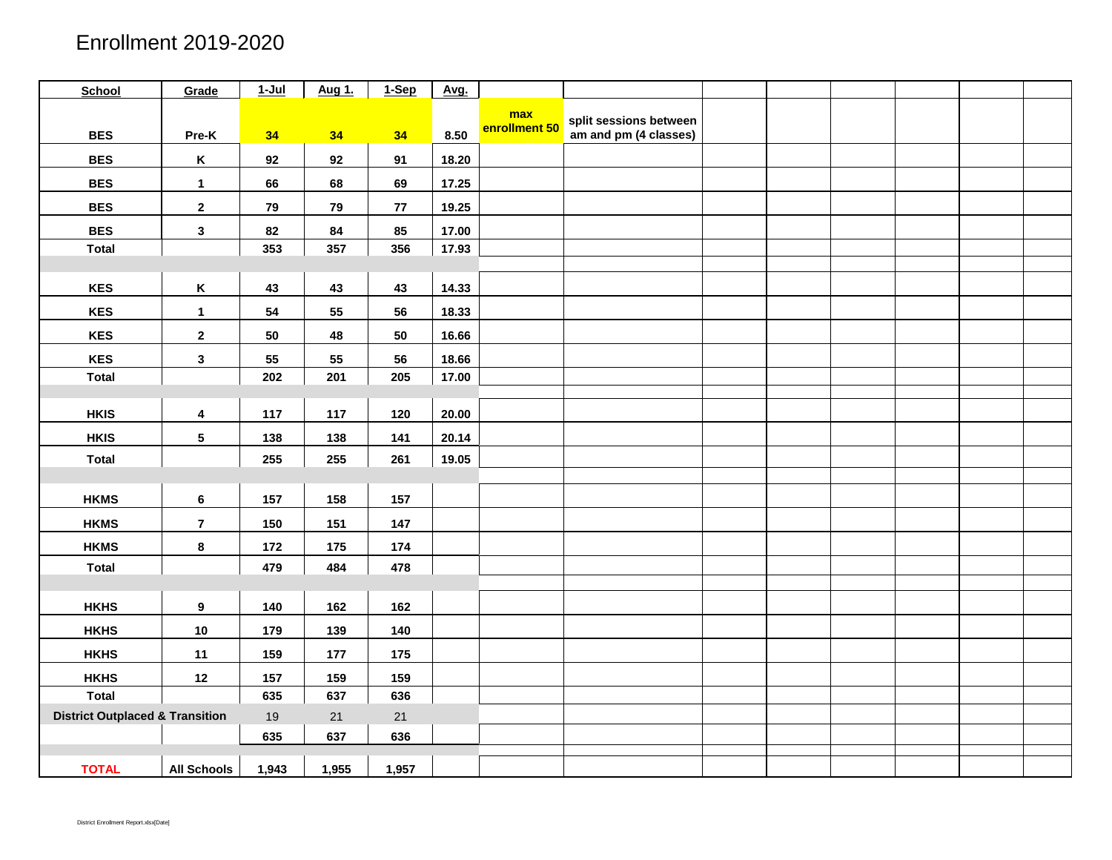| <b>School</b>                              | Grade                   | $1-Jul$ | Aug 1. | 1-Sep      | Avg.  |                      |                        |  |  |  |
|--------------------------------------------|-------------------------|---------|--------|------------|-------|----------------------|------------------------|--|--|--|
|                                            |                         |         |        |            |       | max<br>enrollment 50 | split sessions between |  |  |  |
| <b>BES</b>                                 | Pre-K                   | 34      | 34     | 34         | 8.50  |                      | am and pm (4 classes)  |  |  |  |
| <b>BES</b>                                 | $\,$ K                  | 92      | 92     | 91         | 18.20 |                      |                        |  |  |  |
| <b>BES</b>                                 | $\mathbf 1$             | 66      | 68     | 69         | 17.25 |                      |                        |  |  |  |
| <b>BES</b>                                 | $\mathbf{2}$            | 79      | 79     | $77\,$     | 19.25 |                      |                        |  |  |  |
| <b>BES</b>                                 | $\mathbf{3}$            | 82      | 84     | 85         | 17.00 |                      |                        |  |  |  |
| <b>Total</b>                               |                         | 353     | 357    | 356        | 17.93 |                      |                        |  |  |  |
|                                            |                         |         |        |            |       |                      |                        |  |  |  |
| <b>KES</b>                                 | $\,$ K                  | 43      | 43     | 43         | 14.33 |                      |                        |  |  |  |
| <b>KES</b>                                 | $\mathbf 1$             | 54      | 55     | ${\bf 56}$ | 18.33 |                      |                        |  |  |  |
| <b>KES</b>                                 | $\mathbf{2}$            | 50      | 48     | 50         | 16.66 |                      |                        |  |  |  |
| <b>KES</b>                                 | $\mathbf{3}$            | 55      | 55     | 56         | 18.66 |                      |                        |  |  |  |
| <b>Total</b>                               |                         | 202     | 201    | 205        | 17.00 |                      |                        |  |  |  |
|                                            |                         |         |        |            |       |                      |                        |  |  |  |
| <b>HKIS</b>                                | $\overline{\mathbf{4}}$ | 117     | 117    | 120        | 20.00 |                      |                        |  |  |  |
| <b>HKIS</b>                                | ${\bf 5}$               | 138     | 138    | 141        | 20.14 |                      |                        |  |  |  |
| <b>Total</b>                               |                         | 255     | 255    | 261        | 19.05 |                      |                        |  |  |  |
|                                            |                         |         |        |            |       |                      |                        |  |  |  |
| <b>HKMS</b>                                | $\bf 6$                 | 157     | 158    | 157        |       |                      |                        |  |  |  |
| <b>HKMS</b>                                | $\overline{7}$          | 150     | 151    | 147        |       |                      |                        |  |  |  |
| <b>HKMS</b>                                | $\bf8$                  | 172     | 175    | 174        |       |                      |                        |  |  |  |
| <b>Total</b>                               |                         | 479     | 484    | 478        |       |                      |                        |  |  |  |
|                                            |                         |         |        |            |       |                      |                        |  |  |  |
| <b>HKHS</b>                                | $\boldsymbol{9}$        | 140     | 162    | 162        |       |                      |                        |  |  |  |
| <b>HKHS</b>                                | $10$                    | 179     | 139    | 140        |       |                      |                        |  |  |  |
| <b>HKHS</b>                                | 11                      | 159     | 177    | 175        |       |                      |                        |  |  |  |
| <b>HKHS</b>                                | 12                      | 157     | 159    | 159        |       |                      |                        |  |  |  |
| <b>Total</b>                               |                         | 635     | 637    | 636        |       |                      |                        |  |  |  |
| <b>District Outplaced &amp; Transition</b> |                         | 19      | 21     | 21         |       |                      |                        |  |  |  |
|                                            |                         | 635     | 637    | 636        |       |                      |                        |  |  |  |
| <b>TOTAL</b>                               | <b>All Schools</b>      | 1,943   | 1,955  | 1,957      |       |                      |                        |  |  |  |